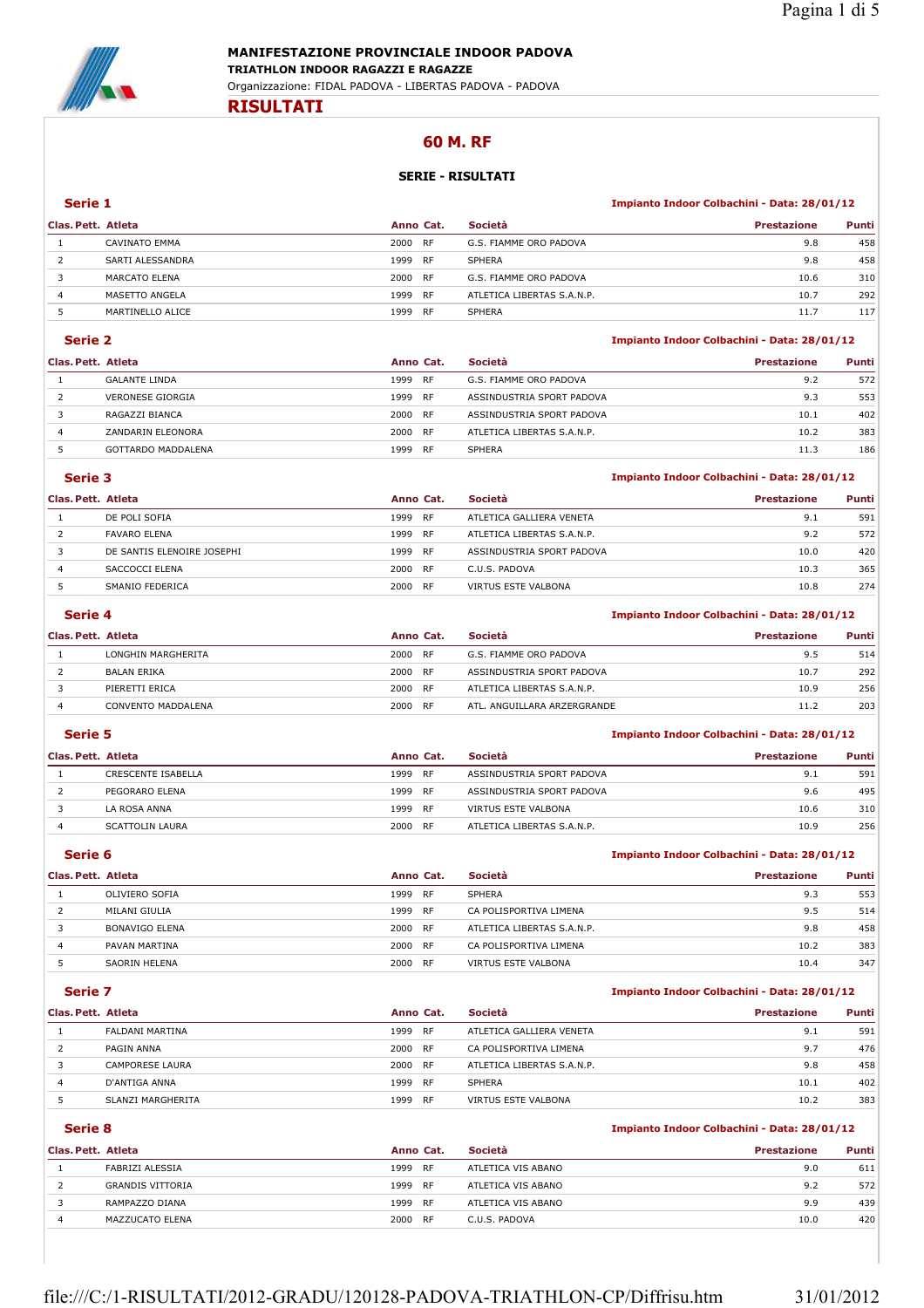

## **MANIFESTAZIONE PROVINCIALE INDOOR PADOVA TRIATHLON INDOOR RAGAZZI E RAGAZZE** Organizzazione: FIDAL PADOVA - LIBERTAS PADOVA - PADOVA

**RISULTATI**

# **60 M. RF**

## **SERIE - RISULTATI**

| Serie 1            |                  |              | Impianto Indoor Colbachini - Data: 28/01/12 |                    |       |  |
|--------------------|------------------|--------------|---------------------------------------------|--------------------|-------|--|
| Clas. Pett. Atleta |                  | Anno Cat.    | <b>Società</b>                              | <b>Prestazione</b> | Punti |  |
|                    | CAVINATO EMMA    | 2000 RF      | G.S. FIAMME ORO PADOVA                      | 9.8                | 458   |  |
|                    | SARTI ALESSANDRA | 1999<br>RF   | <b>SPHERA</b>                               | 9.8                | 458   |  |
|                    | MARCATO ELENA    | 2000 RF      | G.S. FIAMME ORO PADOVA                      | 10.6               | 310   |  |
| 4                  | MASETTO ANGELA   | 1999<br>- RF | ATLETICA LIBERTAS S.A.N.P.                  | 10.7               | 292   |  |
|                    | MARTINELLO ALICE | 1999<br>RF   | <b>SPHERA</b>                               | 11.7               | 117   |  |

### **Serie 2 Impianto Indoor Colbachini - Data: 28/01/12**

| Clas. Pett. Atleta |                         | Anno Cat.         | <b>Società</b>             | <b>Prestazione</b> | Punti |
|--------------------|-------------------------|-------------------|----------------------------|--------------------|-------|
|                    | GALANTE LINDA           | 1999<br>RF        | G.S. FIAMME ORO PADOVA     | 9.2                | 572   |
|                    | <b>VERONESE GIORGIA</b> | 1999<br><b>RF</b> | ASSINDUSTRIA SPORT PADOVA  | 9.3                | 553   |
|                    | RAGAZZI BIANCA          | 2000<br>-RF       | ASSINDUSTRIA SPORT PADOVA  | 10.1               | 402   |
| 4                  | ZANDARIN ELEONORA       | 2000<br>RF        | ATLETICA LIBERTAS S.A.N.P. | 10.2               | 383   |
|                    | GOTTARDO MADDALENA      | 1999<br><b>RF</b> | <b>SPHERA</b>              | 11.3               | 186   |

### **Serie 3 Impianto Indoor Colbachini - Data: 28/01/12**

|                            | Anno Cat.          | <b>Società</b>             | <b>Prestazione</b> | Punti |
|----------------------------|--------------------|----------------------------|--------------------|-------|
| DE POLI SOFIA              | 1999<br>RF         | ATLETICA GALLIERA VENETA   | 9.1                | 591   |
| FAVARO ELENA               | 1999<br>RF         | ATLETICA LIBERTAS S.A.N.P. | 9.2                | 572   |
| DE SANTIS ELENOIRE JOSEPHI | 1999<br>RF         | ASSINDUSTRIA SPORT PADOVA  | 10.0               | 420   |
| SACCOCCI ELENA             | 2000<br>RF         | C.U.S. PADOVA              | 10.3               | 365   |
| SMANIO FEDERICA            | 2000<br><b>RF</b>  | VIRTUS ESTE VALBONA        | 10.8               | 274   |
|                            | Clas. Pett. Atleta |                            |                    |       |

## **Serie 4 Impianto Indoor Colbachini - Data: 28/01/12**

| Clas. Pett. Atleta |                    | Anno Cat.         | Società                     | <b>Prestazione</b> | Punti |
|--------------------|--------------------|-------------------|-----------------------------|--------------------|-------|
|                    | LONGHIN MARGHERITA | 2000<br><b>RF</b> | G.S. FIAMME ORO PADOVA      | 9.5                | 514   |
|                    | BALAN ERIKA        | 2000<br><b>RF</b> | ASSINDUSTRIA SPORT PADOVA   | 10.7               | 292   |
|                    | PIERETTI ERICA     | 2000<br>RF        | ATLETICA LIBERTAS S.A.N.P.  | 10.9               | 256   |
|                    | CONVENTO MADDALENA | 2000<br><b>RF</b> | ATL. ANGUILLARA ARZERGRANDE | 11.2               | 203   |

### **Serie 5 Impianto Indoor Colbachini - Data: 28/01/12**

| Clas. Pett. Atleta |                        | Anno Cat.         | Società                    | <b>Prestazione</b> | Punti |
|--------------------|------------------------|-------------------|----------------------------|--------------------|-------|
|                    | CRESCENTE ISABELLA     | 1999<br>RF        | ASSINDUSTRIA SPORT PADOVA  | 9.1                | 591   |
|                    | PEGORARO ELENA         | 1999<br>RF        | ASSINDUSTRIA SPORT PADOVA  | 9.6                | 495   |
|                    | LA ROSA ANNA           | 1999<br>RF        | VIRTUS ESTE VALBONA        | 10.6               | 310   |
|                    | <b>SCATTOLIN LAURA</b> | 2000<br><b>RF</b> | ATLETICA LIBERTAS S.A.N.P. | 10.9               | 256   |

### **Serie 6 Impianto Indoor Colbachini - Data: 28/01/12**

| Clas. Pett. Atleta |                | Anno Cat. |           | Società                    | <b>Prestazione</b> | Punti |
|--------------------|----------------|-----------|-----------|----------------------------|--------------------|-------|
|                    | OLIVIERO SOFIA | 1999      | RF        | <b>SPHERA</b>              | 9.3                | 553   |
|                    | MILANI GIULIA  | 1999      | <b>RF</b> | CA POLISPORTIVA LIMENA     | 9.5                | 514   |
|                    | BONAVIGO ELENA | 2000      | RF        | ATLETICA LIBERTAS S.A.N.P. | 9.8                | 458   |
| 4                  | PAVAN MARTINA  | 2000      | <b>RF</b> | CA POLISPORTIVA LIMENA     | 10.2               | 383   |
|                    | SAORIN HELENA  | 2000      | <b>RF</b> | VIRTUS ESTE VALBONA        | 10.4               | 347   |

### **Serie 7 Impianto Indoor Colbachini - Data: 28/01/12**

| Clas. Pett. Atleta |                        | Anno Cat.  | <b>Società</b>             | <b>Prestazione</b> | Punti |
|--------------------|------------------------|------------|----------------------------|--------------------|-------|
|                    | FALDANI MARTINA        | 1999 RF    | ATLETICA GALLIERA VENETA   | 9.1                | 591   |
|                    | PAGIN ANNA             | 2000 RF    | CA POLISPORTIVA LIMENA     | 9.7                | 476   |
|                    | <b>CAMPORESE LAURA</b> | 2000 RF    | ATLETICA LIBERTAS S.A.N.P. | 9.8                | 458   |
|                    | D'ANTIGA ANNA          | 1999 RF    | <b>SPHERA</b>              | 10.1               | 402   |
|                    | SLANZI MARGHERITA      | 1999<br>RF | <b>VIRTUS ESTE VALBONA</b> | 10.2               | 383   |

# **Serie 8 Impianto Indoor Colbachini - Data: 28/01/12**

| Clas. Pett. Atleta |                         |      | Anno Cat. | Società            | <b>Prestazione</b> | Punti |
|--------------------|-------------------------|------|-----------|--------------------|--------------------|-------|
|                    | FABRIZI ALESSIA         | 1999 | RF        | ATLETICA VIS ABANO | 9.0                | 611   |
|                    | <b>GRANDIS VITTORIA</b> | 1999 | RF        | ATLETICA VIS ABANO | 9.2                | 572   |
|                    | RAMPAZZO DIANA          | 1999 | RF        | ATLETICA VIS ABANO | 9.9                | 439   |
|                    | MAZZUCATO ELENA         | 2000 | RF        | C.U.S. PADOVA      | 10.0               | 420   |
|                    |                         |      |           |                    |                    |       |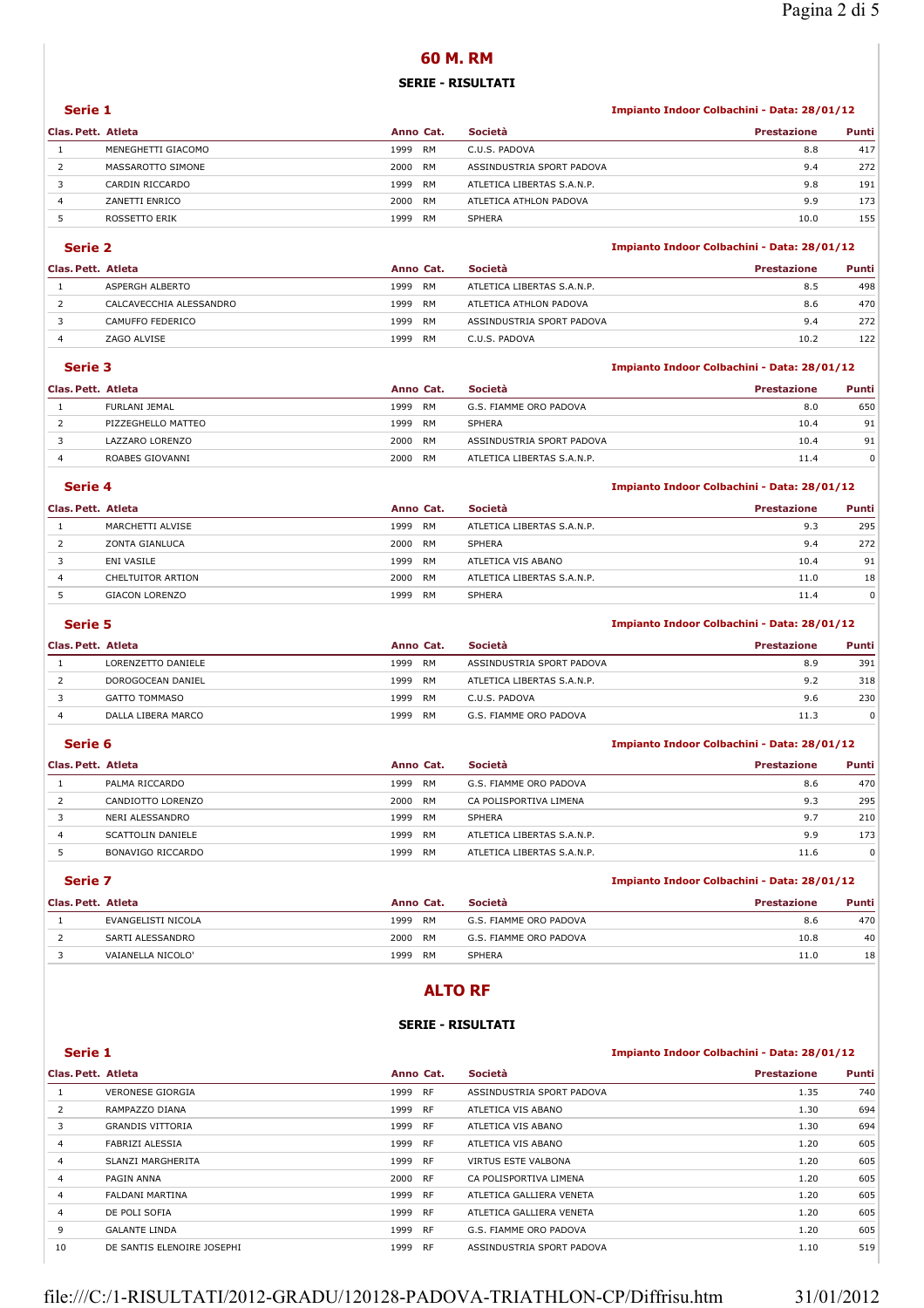# **60 M. RM**

## **SERIE - RISULTATI**

|                    | Serie 1            |           |           | Impianto Indoor Colbachini - Data: 28/01/12 |                    |       |
|--------------------|--------------------|-----------|-----------|---------------------------------------------|--------------------|-------|
| Clas. Pett. Atleta |                    | Anno Cat. |           | Società                                     | <b>Prestazione</b> | Punti |
|                    | MENEGHETTI GIACOMO | 1999      | RM        | C.U.S. PADOVA                               | 8.8                | 417   |
|                    | MASSAROTTO SIMONE  | 2000      | <b>RM</b> | ASSINDUSTRIA SPORT PADOVA                   | 9.4                | 272   |
|                    | CARDIN RICCARDO    | 1999      | RM        | ATLETICA LIBERTAS S.A.N.P.                  | 9.8                | 191   |
| $\overline{4}$     | ZANETTI ENRICO     | 2000      | RM        | ATLETICA ATHLON PADOVA                      | 9.9                | 173   |
|                    | ROSSETTO ERIK      | 1999      | RM        | <b>SPHERA</b>                               | 10.0               | 155   |

**Serie 2 Impianto Indoor Colbachini - Data: 28/01/12 Clas. Pett. Atleta Anno Cat. Società Prestazione Punti**

| ASPERGH ALBERTO         | 1999<br>RM | ATLETICA LIBERTAS S.A.N.P. | 8.5  | 498 |
|-------------------------|------------|----------------------------|------|-----|
| CALCAVECCHIA ALESSANDRO | RM<br>1999 | ATLETICA ATHLON PADOVA     | 8.6  | 470 |
| CAMUFFO FEDERICO        | RM<br>1999 | ASSINDUSTRIA SPORT PADOVA  | 9.4  | 272 |
| ZAGO ALVISE             | 1999<br>RM | C.U.S. PADOVA              | 10.2 | 122 |

### **Serie 3 Impianto Indoor Colbachini - Data: 28/01/12**

| Clas. Pett. Atleta |                    | Anno Cat.         | <b>Società</b>             | <b>Prestazione</b> | Punti |
|--------------------|--------------------|-------------------|----------------------------|--------------------|-------|
|                    | FURLANI JEMAL      | 1999<br>RM        | G.S. FIAMME ORO PADOVA     | 8.0                | 650   |
|                    | PIZZEGHELLO MATTEO | 1999<br>RM        | <b>SPHERA</b>              | 10.4               | 91    |
|                    | LAZZARO LORENZO    | 2000<br>RM        | ASSINDUSTRIA SPORT PADOVA  | 10.4               | 91    |
|                    | ROABES GIOVANNI    | 2000<br><b>RM</b> | ATLETICA LIBERTAS S.A.N.P. | 11.4               |       |

## **Serie 4 Impianto Indoor Colbachini - Data: 28/01/12**

| Clas. Pett. Atleta |                       | Anno Cat.  | Società                    | <b>Prestazione</b> | Punti    |
|--------------------|-----------------------|------------|----------------------------|--------------------|----------|
|                    | MARCHETTI ALVISE      | 1999<br>RM | ATLETICA LIBERTAS S.A.N.P. | 9.3                | 295      |
|                    | ZONTA GIANLUCA        | 2000<br>RM | <b>SPHERA</b>              | 9.4                | 272      |
|                    | ENI VASILE            | 1999<br>RM | ATLETICA VIS ABANO         | 10.4               | 91       |
| 4                  | CHELTUITOR ARTION     | 2000<br>RM | ATLETICA LIBERTAS S.A.N.P. | 11.0               | 18       |
|                    | <b>GIACON LORENZO</b> | 1999<br>RM | <b>SPHERA</b>              | 11.4               | $\Omega$ |

# **Serie 5 Impianto Indoor Colbachini - Data: 28/01/12**

| Clas. Pett. Atleta |                      | Anno Cat.  | <b>Società</b>             | <b>Prestazione</b> | Punti |
|--------------------|----------------------|------------|----------------------------|--------------------|-------|
|                    | LORENZETTO DANIELE   | 1999<br>RM | ASSINDUSTRIA SPORT PADOVA  | 8.9                | 391   |
|                    | DOROGOCEAN DANIEL    | 1999<br>RM | ATLETICA LIBERTAS S.A.N.P. | 9.2                | 318   |
|                    | <b>GATTO TOMMASO</b> | 1999<br>RM | C.U.S. PADOVA              | 9.6                | 230   |
|                    | DALLA LIBERA MARCO   | 1999<br>RM | G.S. FIAMME ORO PADOVA     | 11.3               | 0     |

**Serie 6 Impianto Indoor Colbachini - Data: 28/01/12** 

| Clas. Pett. Atleta | Anno Cat.         | Società                    | <b>Prestazione</b> | Punti |
|--------------------|-------------------|----------------------------|--------------------|-------|
| PALMA RICCARDO     | RM<br>1999        | G.S. FIAMME ORO PADOVA     | 8.6                | 470   |
| CANDIOTTO LORENZO  | RM<br>2000        | CA POLISPORTIVA LIMENA     | 9.3                | 295   |
| NERI ALESSANDRO    | 1999<br>RM        | <b>SPHERA</b>              | 9.7                | 210   |
| SCATTOLIN DANIELE  | 1999<br><b>RM</b> | ATLETICA LIBERTAS S.A.N.P. | 9.9                | 173   |
| BONAVIGO RICCARDO  | 1999<br><b>RM</b> | ATLETICA LIBERTAS S.A.N.P. | 11.6               | 0     |
|                    |                   |                            |                    |       |

## **Serie 7 Impianto Indoor Colbachini - Data: 28/01/12**

| Clas. Pett. Atleta |                    | Anno Cat.         | Società                | <b>Prestazione</b> | Punti |
|--------------------|--------------------|-------------------|------------------------|--------------------|-------|
|                    | EVANGELISTI NICOLA | 1999<br><b>RM</b> | G.S. FIAMME ORO PADOVA | 8.6                | 470   |
|                    | SARTI ALESSANDRO   | 2000<br><b>RM</b> | G.S. FIAMME ORO PADOVA | 10.8               | 40    |
|                    | VAIANELLA NICOLO'  | <b>RM</b><br>1999 | <b>SPHERA</b>          | 11.0               | 18    |

# **ALTO RF**

### **SERIE - RISULTATI**

### **Serie 1 Impianto Indoor Colbachini - Data: 28/01/12**

| Clas. Pett. Atleta |                            | Anno Cat.         | Società                   | <b>Prestazione</b> | Punti |
|--------------------|----------------------------|-------------------|---------------------------|--------------------|-------|
|                    | <b>VERONESE GIORGIA</b>    | 1999<br>-RF       | ASSINDUSTRIA SPORT PADOVA | 1.35               | 740   |
| 2                  | RAMPAZZO DIANA             | 1999<br>RF        | ATLETICA VIS ABANO        | 1.30               | 694   |
| 3                  | <b>GRANDIS VITTORIA</b>    | 1999<br><b>RF</b> | ATLETICA VIS ABANO        | 1.30               | 694   |
| 4                  | <b>FABRIZI ALESSIA</b>     | 1999<br><b>RF</b> | ATLETICA VIS ABANO        | 1.20               | 605   |
| 4                  | SLANZI MARGHERITA          | <b>RF</b><br>1999 | VIRTUS ESTE VALBONA       | 1.20               | 605   |
| $\overline{4}$     | PAGIN ANNA                 | 2000 RF           | CA POLISPORTIVA LIMENA    | 1.20               | 605   |
| 4                  | FALDANI MARTINA            | 1999<br><b>RF</b> | ATLETICA GALLIERA VENETA  | 1.20               | 605   |
| 4                  | DE POLI SOFIA              | 1999<br><b>RF</b> | ATLETICA GALLIERA VENETA  | 1.20               | 605   |
| 9                  | <b>GALANTE LINDA</b>       | 1999<br><b>RF</b> | G.S. FIAMME ORO PADOVA    | 1.20               | 605   |
| 10                 | DE SANTIS ELENOIRE JOSEPHI | <b>RF</b><br>1999 | ASSINDUSTRIA SPORT PADOVA | 1.10               | 519   |

# file:///C:/1-RISULTATI/2012-GRADU/120128-PADOVA-TRIATHLON-CP/Diffrisu.htm 31/01/2012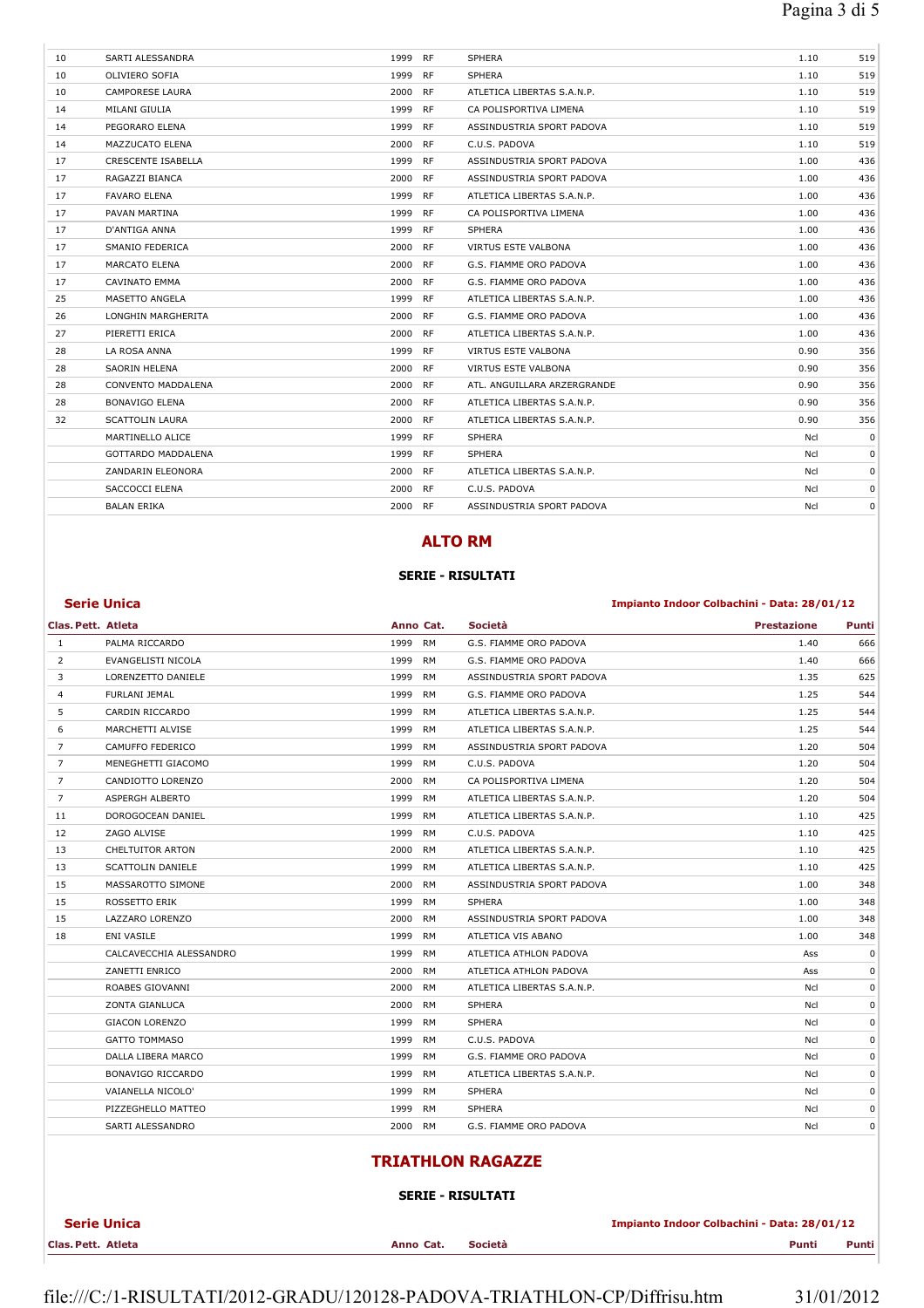| 10 | SARTI ALESSANDRA          | 1999 RF | <b>SPHERA</b>               | 1.10 | 519 |
|----|---------------------------|---------|-----------------------------|------|-----|
| 10 | OLIVIERO SOFIA            | 1999 RF | <b>SPHERA</b>               | 1.10 | 519 |
| 10 | <b>CAMPORESE LAURA</b>    | 2000 RF | ATLETICA LIBERTAS S.A.N.P.  | 1.10 | 519 |
| 14 | MILANI GIULIA             | 1999 RF | CA POLISPORTIVA LIMENA      | 1.10 | 519 |
| 14 | PEGORARO ELENA            | 1999 RF | ASSINDUSTRIA SPORT PADOVA   | 1.10 | 519 |
| 14 | MAZZUCATO ELENA           | 2000 RF | C.U.S. PADOVA               | 1.10 | 519 |
| 17 | <b>CRESCENTE ISABELLA</b> | 1999 RF | ASSINDUSTRIA SPORT PADOVA   | 1.00 | 436 |
| 17 | RAGAZZI BIANCA            | 2000 RF | ASSINDUSTRIA SPORT PADOVA   | 1.00 | 436 |
| 17 | <b>FAVARO ELENA</b>       | 1999 RF | ATLETICA LIBERTAS S.A.N.P.  | 1.00 | 436 |
| 17 | PAVAN MARTINA             | 1999 RF | CA POLISPORTIVA LIMENA      | 1.00 | 436 |
| 17 | D'ANTIGA ANNA             | 1999 RF | <b>SPHERA</b>               | 1.00 | 436 |
| 17 | SMANIO FEDERICA           | 2000 RF | <b>VIRTUS ESTE VALBONA</b>  | 1.00 | 436 |
| 17 | MARCATO ELENA             | 2000 RF | G.S. FIAMME ORO PADOVA      | 1.00 | 436 |
| 17 | CAVINATO EMMA             | 2000 RF | G.S. FIAMME ORO PADOVA      | 1.00 | 436 |
| 25 | MASETTO ANGELA            | 1999 RF | ATLETICA LIBERTAS S.A.N.P.  | 1.00 | 436 |
| 26 | LONGHIN MARGHERITA        | 2000 RF | G.S. FIAMME ORO PADOVA      | 1.00 | 436 |
| 27 | PIERETTI ERICA            | 2000 RF | ATLETICA LIBERTAS S.A.N.P.  | 1.00 | 436 |
| 28 | LA ROSA ANNA              | 1999 RF | VIRTUS ESTE VALBONA         | 0.90 | 356 |
| 28 | SAORIN HELENA             | 2000 RF | <b>VIRTUS ESTE VALBONA</b>  | 0.90 | 356 |
| 28 | CONVENTO MADDALENA        | 2000 RF | ATL. ANGUILLARA ARZERGRANDE | 0.90 | 356 |
| 28 | <b>BONAVIGO ELENA</b>     | 2000 RF | ATLETICA LIBERTAS S.A.N.P.  | 0.90 | 356 |
| 32 | <b>SCATTOLIN LAURA</b>    | 2000 RF | ATLETICA LIBERTAS S.A.N.P.  | 0.90 | 356 |
|    | MARTINELLO ALICE          | 1999 RF | SPHERA                      | Ncl  | 0   |
|    | <b>GOTTARDO MADDALENA</b> | 1999 RF | <b>SPHERA</b>               | Ncl  | 0   |
|    | ZANDARIN ELEONORA         | 2000 RF | ATLETICA LIBERTAS S.A.N.P.  | Ncl  | 0   |
|    | SACCOCCI ELENA            | 2000 RF | C.U.S. PADOVA               | Ncl  | 0   |
|    | <b>BALAN ERIKA</b>        | 2000 RF | ASSINDUSTRIA SPORT PADOVA   | Ncl  | 0   |
|    |                           |         |                             |      |     |

# **ALTO RM**

## **SERIE - RISULTATI**

### **Serie Unica Impianto Indoor Colbachini - Data: 28/01/12**

| Clas. Pett. Atleta |                          |         | Anno Cat. | Società                    | <b>Prestazione</b> | Punti       |
|--------------------|--------------------------|---------|-----------|----------------------------|--------------------|-------------|
| $\mathbf{1}$       | PALMA RICCARDO           | 1999 RM |           | G.S. FIAMME ORO PADOVA     | 1.40               | 666         |
| 2                  | EVANGELISTI NICOLA       | 1999 RM |           | G.S. FIAMME ORO PADOVA     | 1.40               | 666         |
| 3                  | LORENZETTO DANIELE       | 1999    | <b>RM</b> | ASSINDUSTRIA SPORT PADOVA  | 1.35               | 625         |
| 4                  | <b>FURLANI JEMAL</b>     | 1999 RM |           | G.S. FIAMME ORO PADOVA     | 1.25               | 544         |
| 5                  | CARDIN RICCARDO          | 1999    | RM        | ATLETICA LIBERTAS S.A.N.P. | 1.25               | 544         |
| 6                  | MARCHETTI ALVISE         | 1999 RM |           | ATLETICA LIBERTAS S.A.N.P. | 1.25               | 544         |
| 7                  | CAMUFFO FEDERICO         | 1999    | RM        | ASSINDUSTRIA SPORT PADOVA  | 1.20               | 504         |
| $\overline{7}$     | MENEGHETTI GIACOMO       | 1999 RM |           | C.U.S. PADOVA              | 1.20               | 504         |
| 7                  | CANDIOTTO LORENZO        | 2000    | <b>RM</b> | CA POLISPORTIVA LIMENA     | 1.20               | 504         |
| 7                  | <b>ASPERGH ALBERTO</b>   | 1999 RM |           | ATLETICA LIBERTAS S.A.N.P. | 1.20               | 504         |
| 11                 | DOROGOCEAN DANIEL        | 1999    | <b>RM</b> | ATLETICA LIBERTAS S.A.N.P. | 1.10               | 425         |
| 12                 | ZAGO ALVISE              | 1999 RM |           | C.U.S. PADOVA              | 1.10               | 425         |
| 13                 | CHELTUITOR ARTON         | 2000 RM |           | ATLETICA LIBERTAS S.A.N.P. | 1.10               | 425         |
| 13                 | <b>SCATTOLIN DANIELE</b> | 1999    | RM        | ATLETICA LIBERTAS S.A.N.P. | 1.10               | 425         |
| 15                 | MASSAROTTO SIMONE        | 2000    | RM        | ASSINDUSTRIA SPORT PADOVA  | 1.00               | 348         |
| 15                 | ROSSETTO ERIK            | 1999    | <b>RM</b> | <b>SPHERA</b>              | 1.00               | 348         |
| 15                 | LAZZARO LORENZO          | 2000 RM |           | ASSINDUSTRIA SPORT PADOVA  | 1.00               | 348         |
| 18                 | ENI VASILE               | 1999    | RM        | ATLETICA VIS ABANO         | 1.00               | 348         |
|                    | CALCAVECCHIA ALESSANDRO  | 1999    | RM        | ATLETICA ATHLON PADOVA     | Ass                | $\mathbf 0$ |
|                    | ZANETTI ENRICO           | 2000    | <b>RM</b> | ATLETICA ATHLON PADOVA     | Ass                | 0           |
|                    | ROABES GIOVANNI          | 2000    | RM        | ATLETICA LIBERTAS S.A.N.P. | Ncl                | $\mathbf 0$ |
|                    | ZONTA GIANLUCA           | 2000 RM |           | <b>SPHERA</b>              | Ncl                | $\mathbf 0$ |
|                    | <b>GIACON LORENZO</b>    | 1999    | <b>RM</b> | <b>SPHERA</b>              | <b>Ncl</b>         | $\mathbf 0$ |
|                    | <b>GATTO TOMMASO</b>     | 1999 RM |           | C.U.S. PADOVA              | Ncl                | $\mathbf 0$ |
|                    | DALLA LIBERA MARCO       | 1999    | RM        | G.S. FIAMME ORO PADOVA     | Ncl                | $\mathbf 0$ |
|                    | <b>BONAVIGO RICCARDO</b> | 1999 RM |           | ATLETICA LIBERTAS S.A.N.P. | Ncl                | $\mathbf 0$ |
|                    | VAIANELLA NICOLO'        | 1999    | <b>RM</b> | <b>SPHERA</b>              | Ncl                | $\mathbf 0$ |
|                    | PIZZEGHELLO MATTEO       | 1999 RM |           | <b>SPHERA</b>              | Ncl                | $\mathbf 0$ |
|                    | SARTI ALESSANDRO         | 2000    | RM        | G.S. FIAMME ORO PADOVA     | Ncl                | $\mathbf 0$ |
|                    |                          |         |           |                            |                    |             |

# **TRIATHLON RAGAZZE**

**SERIE - RISULTATI**

**Serie Unica Impianto Indoor Colbachini - Data: 28/01/12** 

**Clas. Pett. Atleta Anno Cat. Società Punti Punti**

file:///C:/1-RISULTATI/2012-GRADU/120128-PADOVA-TRIATHLON-CP/Diffrisu.htm 31/01/2012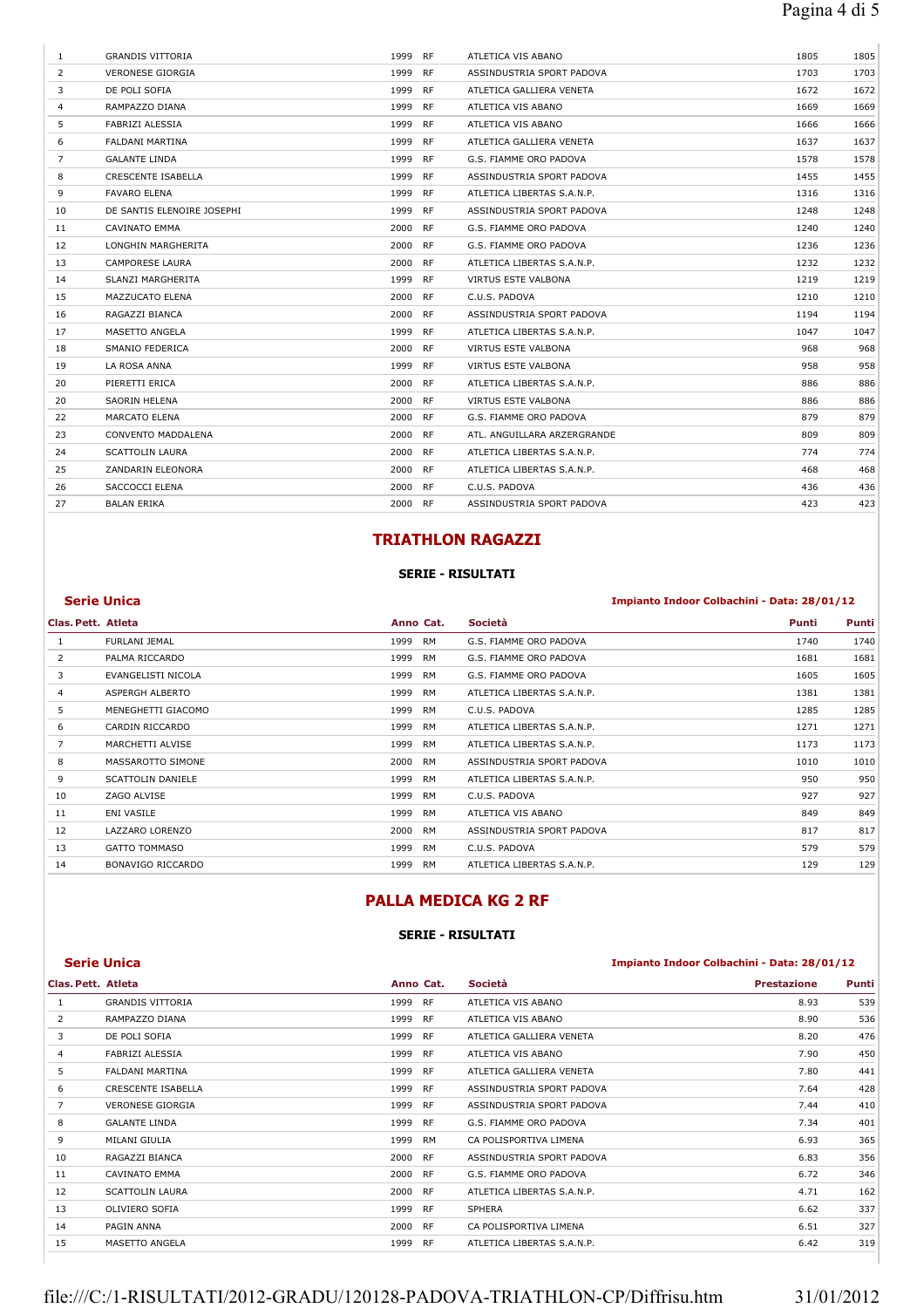| 1  | <b>GRANDIS VITTORIA</b>    | 1999 RF | ATLETICA VIS ABANO          | 1805 | 1805 |
|----|----------------------------|---------|-----------------------------|------|------|
| 2  | <b>VERONESE GIORGIA</b>    | 1999 RF | ASSINDUSTRIA SPORT PADOVA   | 1703 | 1703 |
| 3  | DE POLI SOFIA              | 1999 RF | ATLETICA GALLIERA VENETA    | 1672 | 1672 |
| 4  | RAMPAZZO DIANA             | 1999 RF | ATLETICA VIS ABANO          | 1669 | 1669 |
| 5  | FABRIZI ALESSIA            | 1999 RF | ATLETICA VIS ABANO          | 1666 | 1666 |
| 6  | FALDANI MARTINA            | 1999 RF | ATLETICA GALLIERA VENETA    | 1637 | 1637 |
| 7  | <b>GALANTE LINDA</b>       | 1999 RF | G.S. FIAMME ORO PADOVA      | 1578 | 1578 |
| 8  | <b>CRESCENTE ISABELLA</b>  | 1999 RF | ASSINDUSTRIA SPORT PADOVA   | 1455 | 1455 |
| 9  | <b>FAVARO ELENA</b>        | 1999 RF | ATLETICA LIBERTAS S.A.N.P.  | 1316 | 1316 |
| 10 | DE SANTIS ELENOIRE JOSEPHI | 1999 RF | ASSINDUSTRIA SPORT PADOVA   | 1248 | 1248 |
| 11 | <b>CAVINATO EMMA</b>       | 2000 RF | G.S. FIAMME ORO PADOVA      | 1240 | 1240 |
| 12 | LONGHIN MARGHERITA         | 2000 RF | G.S. FIAMME ORO PADOVA      | 1236 | 1236 |
| 13 | <b>CAMPORESE LAURA</b>     | 2000 RF | ATLETICA LIBERTAS S.A.N.P.  | 1232 | 1232 |
| 14 | SLANZI MARGHERITA          | 1999 RF | VIRTUS ESTE VALBONA         | 1219 | 1219 |
| 15 | <b>MAZZUCATO ELENA</b>     | 2000 RF | C.U.S. PADOVA               | 1210 | 1210 |
| 16 | RAGAZZI BIANCA             | 2000 RF | ASSINDUSTRIA SPORT PADOVA   | 1194 | 1194 |
| 17 | MASETTO ANGELA             | 1999 RF | ATLETICA LIBERTAS S.A.N.P.  | 1047 | 1047 |
| 18 | SMANIO FEDERICA            | 2000 RF | <b>VIRTUS ESTE VALBONA</b>  | 968  | 968  |
| 19 | LA ROSA ANNA               | 1999 RF | <b>VIRTUS ESTE VALBONA</b>  | 958  | 958  |
| 20 | PIERETTI ERICA             | 2000 RF | ATLETICA LIBERTAS S.A.N.P.  | 886  | 886  |
| 20 | <b>SAORIN HELENA</b>       | 2000 RF | <b>VIRTUS ESTE VALBONA</b>  | 886  | 886  |
| 22 | MARCATO ELENA              | 2000 RF | G.S. FIAMME ORO PADOVA      | 879  | 879  |
| 23 | CONVENTO MADDALENA         | 2000 RF | ATL. ANGUILLARA ARZERGRANDE | 809  | 809  |
| 24 | <b>SCATTOLIN LAURA</b>     | 2000 RF | ATLETICA LIBERTAS S.A.N.P.  | 774  | 774  |
| 25 | ZANDARIN ELEONORA          | 2000 RF | ATLETICA LIBERTAS S.A.N.P.  | 468  | 468  |
| 26 | SACCOCCI ELENA             | 2000 RF | C.U.S. PADOVA               | 436  | 436  |
| 27 | <b>BALAN ERIKA</b>         | 2000 RF | ASSINDUSTRIA SPORT PADOVA   | 423  | 423  |
|    |                            |         |                             |      |      |

# **TRIATHLON RAGAZZI**

# **SERIE - RISULTATI**

### **Serie Unica Impianto Indoor Colbachini - Data: 28/01/12**

| Clas. Pett. Atleta |                          |         | Anno Cat. | Società                    | Punti | Punti |
|--------------------|--------------------------|---------|-----------|----------------------------|-------|-------|
| 1                  | FURLANI JEMAL            | 1999    | RM        | G.S. FIAMME ORO PADOVA     | 1740  | 1740  |
| 2                  | PALMA RICCARDO           | 1999    | RM        | G.S. FIAMME ORO PADOVA     | 1681  | 1681  |
| 3                  | EVANGELISTI NICOLA       | 1999    | RM        | G.S. FIAMME ORO PADOVA     | 1605  | 1605  |
| 4                  | ASPERGH ALBERTO          | 1999    | RM        | ATLETICA LIBERTAS S.A.N.P. | 1381  | 1381  |
| 5                  | MENEGHETTI GIACOMO       | 1999    | RM        | C.U.S. PADOVA              | 1285  | 1285  |
| 6                  | CARDIN RICCARDO          | 1999    | RM        | ATLETICA LIBERTAS S.A.N.P. | 1271  | 1271  |
| 7                  | MARCHETTI ALVISE         | 1999    | RM        | ATLETICA LIBERTAS S.A.N.P. | 1173  | 1173  |
| 8                  | MASSAROTTO SIMONE        | 2000 RM |           | ASSINDUSTRIA SPORT PADOVA  | 1010  | 1010  |
| 9                  | <b>SCATTOLIN DANIELE</b> | 1999    | RM        | ATLETICA LIBERTAS S.A.N.P. | 950   | 950   |
| 10                 | ZAGO ALVISE              | 1999 RM |           | C.U.S. PADOVA              | 927   | 927   |
| 11                 | ENI VASILE               | 1999    | RM        | ATLETICA VIS ABANO         | 849   | 849   |
| 12                 | LAZZARO LORENZO          | 2000    | RM        | ASSINDUSTRIA SPORT PADOVA  | 817   | 817   |
| 13                 | <b>GATTO TOMMASO</b>     | 1999    | RM        | C.U.S. PADOVA              | 579   | 579   |
| 14                 | BONAVIGO RICCARDO        | 1999    | RM        | ATLETICA LIBERTAS S.A.N.P. | 129   | 129   |
|                    |                          |         |           |                            |       |       |

# **PALLA MEDICA KG 2 RF**

# **SERIE - RISULTATI**

# **Serie Unica Impianto Indoor Colbachini - Data: 28/01/12**

| Clas. Pett. Atleta |                           | Anno Cat. |           | Società                    | <b>Prestazione</b> | Punti |
|--------------------|---------------------------|-----------|-----------|----------------------------|--------------------|-------|
| 1                  | <b>GRANDIS VITTORIA</b>   | 1999      | <b>RF</b> | ATLETICA VIS ABANO         | 8.93               | 539   |
| $\overline{2}$     | RAMPAZZO DIANA            | 1999      | <b>RF</b> | ATLETICA VIS ABANO         | 8.90               | 536   |
| 3                  | DE POLI SOFIA             | 1999 RF   |           | ATLETICA GALLIERA VENETA   | 8.20               | 476   |
| $\overline{4}$     | FABRIZI ALESSIA           | 1999      | <b>RF</b> | ATLETICA VIS ABANO         | 7.90               | 450   |
| 5                  | <b>FALDANI MARTINA</b>    | 1999      | <b>RF</b> | ATLETICA GALLIERA VENETA   | 7.80               | 441   |
| 6                  | <b>CRESCENTE ISABELLA</b> | 1999      | <b>RF</b> | ASSINDUSTRIA SPORT PADOVA  | 7.64               | 428   |
| $\overline{7}$     | <b>VERONESE GIORGIA</b>   | 1999      | <b>RF</b> | ASSINDUSTRIA SPORT PADOVA  | 7.44               | 410   |
| 8                  | <b>GALANTE LINDA</b>      | 1999      | <b>RF</b> | G.S. FIAMME ORO PADOVA     | 7.34               | 401   |
| 9                  | MILANI GIULIA             | 1999      | RM        | CA POLISPORTIVA LIMENA     | 6.93               | 365   |
| 10                 | RAGAZZI BIANCA            | 2000 RF   |           | ASSINDUSTRIA SPORT PADOVA  | 6.83               | 356   |
| 11                 | CAVINATO EMMA             | 2000 RF   |           | G.S. FIAMME ORO PADOVA     | 6.72               | 346   |
| 12                 | <b>SCATTOLIN LAURA</b>    | 2000 RF   |           | ATLETICA LIBERTAS S.A.N.P. | 4.71               | 162   |
| 13                 | OLIVIERO SOFIA            | 1999 RF   |           | <b>SPHERA</b>              | 6.62               | 337   |
| 14                 | PAGIN ANNA                | 2000 RF   |           | CA POLISPORTIVA LIMENA     | 6.51               | 327   |
| 15                 | MASETTO ANGELA            | 1999      | <b>RF</b> | ATLETICA LIBERTAS S.A.N.P. | 6.42               | 319   |

# file:///C:/1-RISULTATI/2012-GRADU/120128-PADOVA-TRIATHLON-CP/Diffrisu.htm 31/01/2012